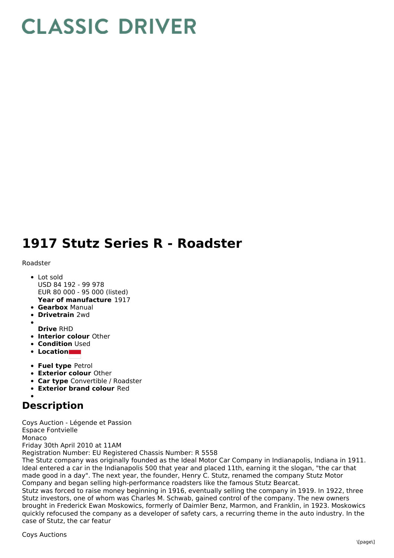## **CLASSIC DRIVER**

## **1917 Stutz Series R - Roadster**

## Roadster

- **Year of manufacture** 1917 • Lot sold USD 84 192 - 99 978 EUR 80 000 - 95 000 (listed)
- **Gearbox** Manual
- **Drivetrain** 2wd
- 
- **Drive** RHD
- **Interior colour** Other **• Condition Used**
- **Location**
- 
- **Fuel type** Petrol **Exterior colour** Other
- **Car type** Convertible / Roadster
- **Exterior brand colour** Red

## **Description**

Coys Auction - Légende et Passion Espace Fontvielle Monaco Friday 30th April 2010 at 11AM

Registration Number: EU Registered Chassis Number: R 5558

The Stutz company was originally founded as the Ideal Motor Car Company in Indianapolis, Indiana in 1911. Ideal entered a car in the Indianapolis 500 that year and placed 11th, earning it the slogan, "the car that made good in a day". The next year, the founder, Henry C. Stutz, renamed the company Stutz Motor Company and began selling high-performance roadsters like the famous Stutz Bearcat.

Stutz was forced to raise money beginning in 1916, eventually selling the company in 1919. In 1922, three Stutz investors, one of whom was Charles M. Schwab, gained control of the company. The new owners brought in Frederick Ewan Moskowics, formerly of Daimler Benz, Marmon, and Franklin, in 1923. Moskowics quickly refocused the company as a developer of safety cars, a recurring theme in the auto industry. In the case of Stutz, the car featur